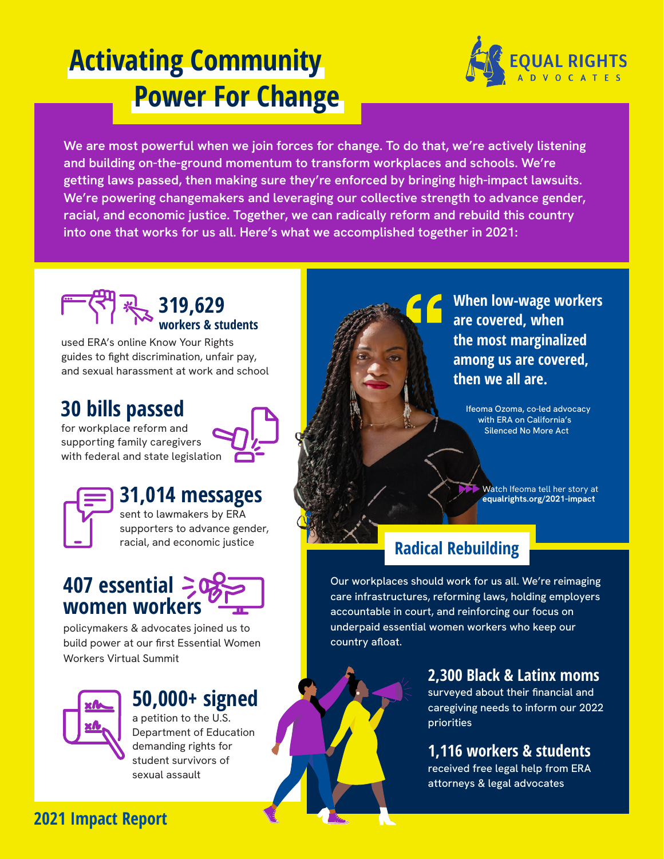# **Activating Community Power For Change**



**We are most powerful when we join forces for change. To do that, we're actively listening and building on-the-ground momentum to transform workplaces and schools. We're getting laws passed, then making sure they're enforced by bringing high-impact lawsuits. We're powering changemakers and leveraging our collective strength to advance gender, racial, and economic justice. Together, we can radically reform and rebuild this country into one that works for us all. Here's what we accomplished together in 2021:**



used ERA's online Know Your Rights guides to fight discrimination, unfair pay, and sexual harassment at work and school

# **30 bills passed**

for workplace reform and supporting family caregivers with federal and state legislation



## **31,014 messages**

sent to lawmakers by ERA supporters to advance gender, racial, and economic justice



policymakers & advocates joined us to build power at our first Essential Women Workers Virtual Summit



## **50,000+ signed**

a petition to the U.S. Department of Education demanding rights for student survivors of sexual assault



**When low-wage workers are covered, when the most marginalized among us are covered, then we all are.** 

Ifeoma Ozoma, co-led advocacy with ERA on California's Silenced No More Act

Watch Ifeoma tell her story at **equalrights.org/2021-impact**

# **Radical Rebuilding**

Our workplaces should work for us all. We're reimaging care infrastructures, reforming laws, holding employers accountable in court, and reinforcing our focus on underpaid essential women workers who keep our country afloat.

> **2,300 Black & Latinx moms** surveyed about their financial and caregiving needs to inform our 2022 priorities

#### **1,116 workers & students**

received free legal help from ERA attorneys & legal advocates

## **2021 Impact Report**